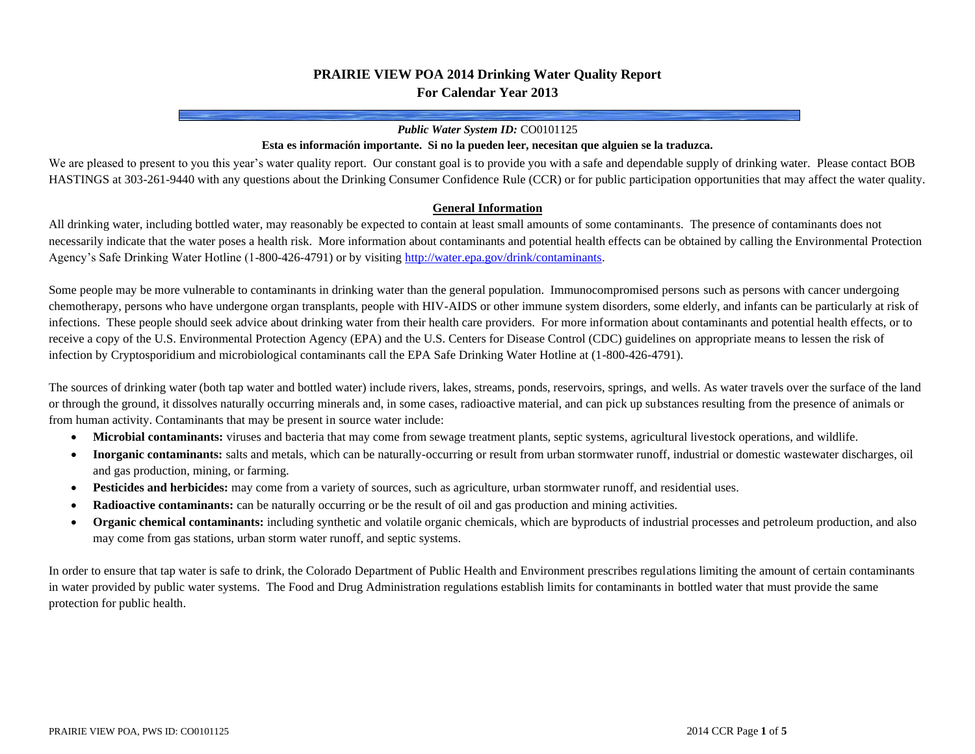# **PRAIRIE VIEW POA 2014 Drinking Water Quality Report For Calendar Year 2013**

#### *Public Water System ID:* CO0101125

### **Esta es información importante. Si no la pueden leer, necesitan que alguien se la traduzca.**

We are pleased to present to you this year's water quality report. Our constant goal is to provide you with a safe and dependable supply of drinking water. Please contact BOB HASTINGS at 303-261-9440 with any questions about the Drinking Consumer Confidence Rule (CCR) or for public participation opportunities that may affect the water quality.

#### **General Information**

All drinking water, including bottled water, may reasonably be expected to contain at least small amounts of some contaminants. The presence of contaminants does not necessarily indicate that the water poses a health risk. More information about contaminants and potential health effects can be obtained by calling the Environmental Protection Agency's Safe Drinking Water Hotline (1-800-426-4791) or by visitin[g http://water.epa.gov/drink/contaminants.](http://water.epa.gov/drink/contaminants)

Some people may be more vulnerable to contaminants in drinking water than the general population. Immunocompromised persons such as persons with cancer undergoing chemotherapy, persons who have undergone organ transplants, people with HIV-AIDS or other immune system disorders, some elderly, and infants can be particularly at risk of infections. These people should seek advice about drinking water from their health care providers. For more information about contaminants and potential health effects, or to receive a copy of the U.S. Environmental Protection Agency (EPA) and the U.S. Centers for Disease Control (CDC) guidelines on appropriate means to lessen the risk of infection by Cryptosporidium and microbiological contaminants call the EPA Safe Drinking Water Hotline at (1-800-426-4791).

The sources of drinking water (both tap water and bottled water) include rivers, lakes, streams, ponds, reservoirs, springs, and wells. As water travels over the surface of the land or through the ground, it dissolves naturally occurring minerals and, in some cases, radioactive material, and can pick up substances resulting from the presence of animals or from human activity. Contaminants that may be present in source water include:

- **Microbial contaminants:** viruses and bacteria that may come from sewage treatment plants, septic systems, agricultural livestock operations, and wildlife.
- **Inorganic contaminants:** salts and metals, which can be naturally-occurring or result from urban stormwater runoff, industrial or domestic wastewater discharges, oil and gas production, mining, or farming.
- **Pesticides and herbicides:** may come from a variety of sources, such as agriculture, urban stormwater runoff, and residential uses.
- **Radioactive contaminants:** can be naturally occurring or be the result of oil and gas production and mining activities.
- **Organic chemical contaminants:** including synthetic and volatile organic chemicals, which are byproducts of industrial processes and petroleum production, and also may come from gas stations, urban storm water runoff, and septic systems.

In order to ensure that tap water is safe to drink, the Colorado Department of Public Health and Environment prescribes regulations limiting the amount of certain contaminants in water provided by public water systems. The Food and Drug Administration regulations establish limits for contaminants in bottled water that must provide the same protection for public health.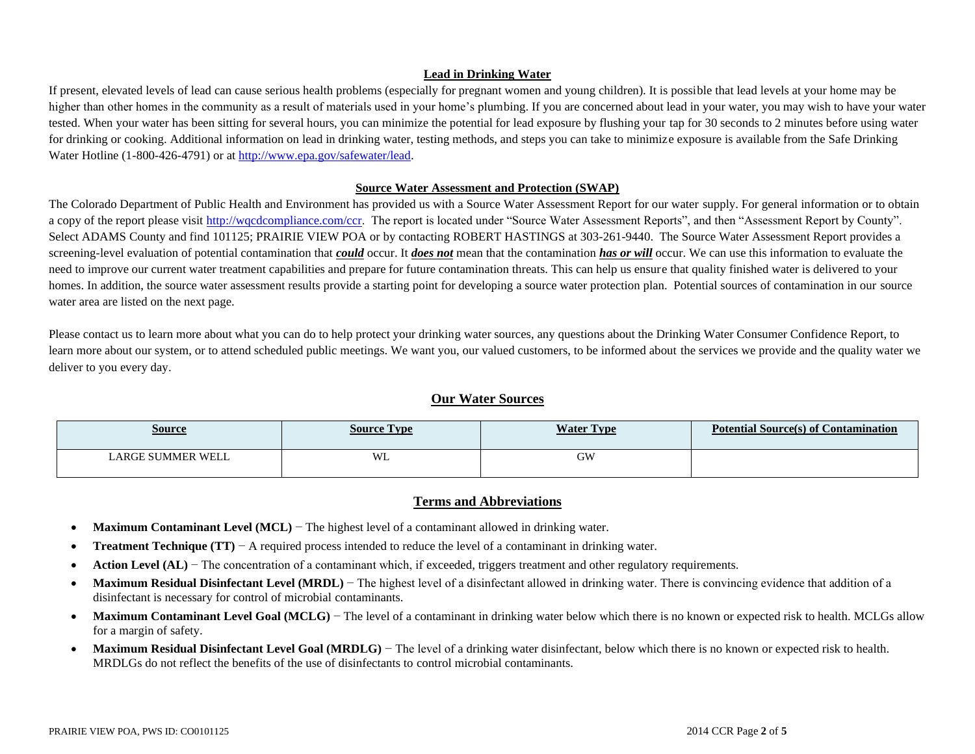#### **Lead in Drinking Water**

If present, elevated levels of lead can cause serious health problems (especially for pregnant women and young children). It is possible that lead levels at your home may be higher than other homes in the community as a result of materials used in your home's plumbing. If you are concerned about lead in your water, you may wish to have your water tested. When your water has been sitting for several hours, you can minimize the potential for lead exposure by flushing your tap for 30 seconds to 2 minutes before using water for drinking or cooking. Additional information on lead in drinking water, testing methods, and steps you can take to minimize exposure is available from the Safe Drinking Water Hotline (1-800-426-4791) or a[t http://www.epa.gov/safewater/lead.](http://www.epa.gov/safewater/lead)

#### **Source Water Assessment and Protection (SWAP)**

The Colorado Department of Public Health and Environment has provided us with a Source Water Assessment Report for our water supply. For general information or to obtain a copy of the report please visit [http://wqcdcompliance.com/ccr.](http://wqcdcompliance.com/ccr) The report is located under "Source Water Assessment Reports", and then "Assessment Report by County". Select ADAMS County and find 101125; PRAIRIE VIEW POA or by contacting ROBERT HASTINGS at 303-261-9440. The Source Water Assessment Report provides a screening-level evaluation of potential contamination that *could* occur. It *does not* mean that the contamination *has or will* occur. We can use this information to evaluate the need to improve our current water treatment capabilities and prepare for future contamination threats. This can help us ensure that quality finished water is delivered to your homes. In addition, the source water assessment results provide a starting point for developing a source water protection plan. Potential sources of contamination in our source water area are listed on the next page.

Please contact us to learn more about what you can do to help protect your drinking water sources, any questions about the Drinking Water Consumer Confidence Report, to learn more about our system, or to attend scheduled public meetings. We want you, our valued customers, to be informed about the services we provide and the quality water we deliver to you every day.

### **Our Water Sources**

| <u>Source</u>     | <b>Type</b><br>Source | <b>Water Type</b> | Potential Source(s) of Contamination |
|-------------------|-----------------------|-------------------|--------------------------------------|
| LARGE SUMMER WELL | WL                    | GW                |                                      |

### **Terms and Abbreviations**

- **Maximum Contaminant Level (MCL)** − The highest level of a contaminant allowed in drinking water.
- **Treatment Technique (TT)** − A required process intended to reduce the level of a contaminant in drinking water.
- **Action Level (AL)** − The concentration of a contaminant which, if exceeded, triggers treatment and other regulatory requirements.
- **Maximum Residual Disinfectant Level (MRDL)** The highest level of a disinfectant allowed in drinking water. There is convincing evidence that addition of a disinfectant is necessary for control of microbial contaminants.
- **Maximum Contaminant Level Goal (MCLG)** The level of a contaminant in drinking water below which there is no known or expected risk to health. MCLGs allow for a margin of safety.
- **Maximum Residual Disinfectant Level Goal (MRDLG)** The level of a drinking water disinfectant, below which there is no known or expected risk to health. MRDLGs do not reflect the benefits of the use of disinfectants to control microbial contaminants.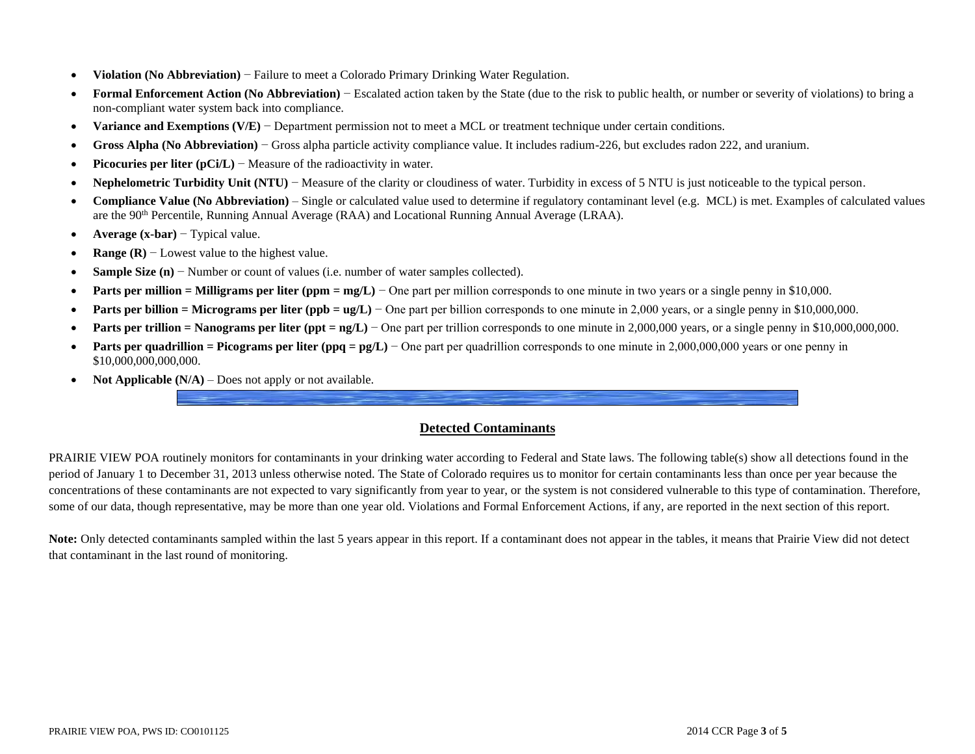- **Violation (No Abbreviation)** − Failure to meet a Colorado Primary Drinking Water Regulation.
- **Formal Enforcement Action (No Abbreviation)** − Escalated action taken by the State (due to the risk to public health, or number or severity of violations) to bring a non-compliant water system back into compliance.
- **Variance and Exemptions (V/E)** − Department permission not to meet a MCL or treatment technique under certain conditions.
- **Gross Alpha (No Abbreviation)** − Gross alpha particle activity compliance value. It includes radium-226, but excludes radon 222, and uranium.
- **Picocuries per liter (pCi/L)** − Measure of the radioactivity in water.
- **Nephelometric Turbidity Unit (NTU)** − Measure of the clarity or cloudiness of water. Turbidity in excess of 5 NTU is just noticeable to the typical person.
- **Compliance Value (No Abbreviation)** Single or calculated value used to determine if regulatory contaminant level (e.g. MCL) is met. Examples of calculated values are the 90th Percentile, Running Annual Average (RAA) and Locational Running Annual Average (LRAA).
- **Average (x-bar)** − Typical value.
- **Range (R)** − Lowest value to the highest value.
- **Sample Size (n)** − Number or count of values (i.e. number of water samples collected).
- **• Parts per million = Milligrams per liter (ppm = mg/L)** One part per million corresponds to one minute in two years or a single penny in \$10,000.
- **Parts per billion = Micrograms per liter (ppb = ug/L)** One part per billion corresponds to one minute in 2,000 years, or a single penny in \$10,000,000.
- **Parts per trillion = Nanograms per liter (ppt = ng/L)** − One part per trillion corresponds to one minute in 2,000,000 years, or a single penny in \$10,000,000,000,000.
- **Parts per quadrillion = Picograms per liter (ppq = pg/L)** One part per quadrillion corresponds to one minute in 2,000,000,000 years or one penny in \$10,000,000,000,000.
- **Not Applicable (N/A)** Does not apply or not available.

## **Detected Contaminants**

PRAIRIE VIEW POA routinely monitors for contaminants in your drinking water according to Federal and State laws. The following table(s) show all detections found in the period of January 1 to December 31, 2013 unless otherwise noted. The State of Colorado requires us to monitor for certain contaminants less than once per year because the concentrations of these contaminants are not expected to vary significantly from year to year, or the system is not considered vulnerable to this type of contamination. Therefore, some of our data, though representative, may be more than one year old. Violations and Formal Enforcement Actions, if any, are reported in the next section of this report.

**Note:** Only detected contaminants sampled within the last 5 years appear in this report. If a contaminant does not appear in the tables, it means that Prairie View did not detect that contaminant in the last round of monitoring.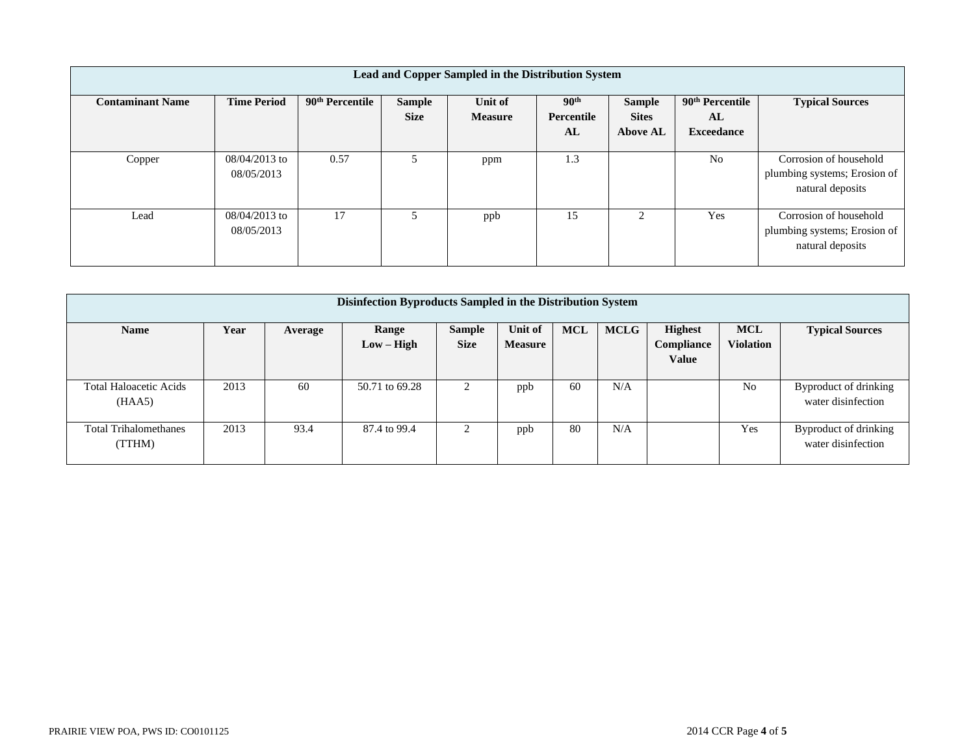| Lead and Copper Sampled in the Distribution System |                               |                             |                              |                           |                                      |                                                  |                                                        |                                                                            |  |
|----------------------------------------------------|-------------------------------|-----------------------------|------------------------------|---------------------------|--------------------------------------|--------------------------------------------------|--------------------------------------------------------|----------------------------------------------------------------------------|--|
| <b>Contaminant Name</b>                            | <b>Time Period</b>            | 90 <sup>th</sup> Percentile | <b>Sample</b><br><b>Size</b> | Unit of<br><b>Measure</b> | 90 <sup>th</sup><br>Percentile<br>AL | <b>Sample</b><br><b>Sites</b><br><b>Above AL</b> | 90 <sup>th</sup> Percentile<br>AL<br><b>Exceedance</b> | <b>Typical Sources</b>                                                     |  |
| Copper                                             | $08/04/2013$ to<br>08/05/2013 | 0.57                        |                              | ppm                       | 1.3                                  |                                                  | N <sub>0</sub>                                         | Corrosion of household<br>plumbing systems; Erosion of<br>natural deposits |  |
| Lead                                               | 08/04/2013 to<br>08/05/2013   | 17                          | 5                            | ppb                       | 15                                   |                                                  | Yes                                                    | Corrosion of household<br>plumbing systems; Erosion of<br>natural deposits |  |

| Disinfection Byproducts Sampled in the Distribution System |      |         |                       |                              |                           |            |             |                                              |                                |                                             |
|------------------------------------------------------------|------|---------|-----------------------|------------------------------|---------------------------|------------|-------------|----------------------------------------------|--------------------------------|---------------------------------------------|
| <b>Name</b>                                                | Year | Average | Range<br>$Low - High$ | <b>Sample</b><br><b>Size</b> | Unit of<br><b>Measure</b> | <b>MCL</b> | <b>MCLG</b> | <b>Highest</b><br>Compliance<br><b>Value</b> | <b>MCL</b><br><b>Violation</b> | <b>Typical Sources</b>                      |
| <b>Total Haloacetic Acids</b><br>(HAA5)                    | 2013 | 60      | 50.71 to 69.28        | 2                            | ppb                       | 60         | N/A         |                                              | N <sub>0</sub>                 | Byproduct of drinking<br>water disinfection |
| <b>Total Trihalomethanes</b><br>(TTHM)                     | 2013 | 93.4    | 87.4 to 99.4          | 2                            | ppb                       | 80         | N/A         |                                              | Yes                            | Byproduct of drinking<br>water disinfection |